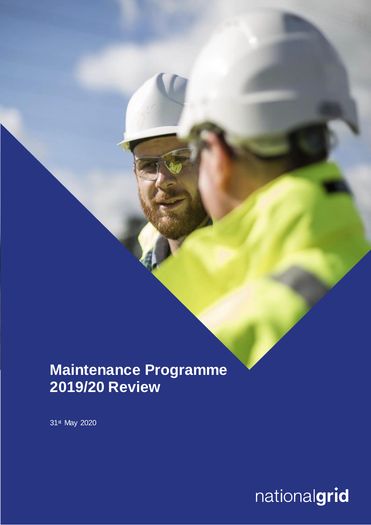## **Maintenance Programme 2019/20 Review**

31st May 2020

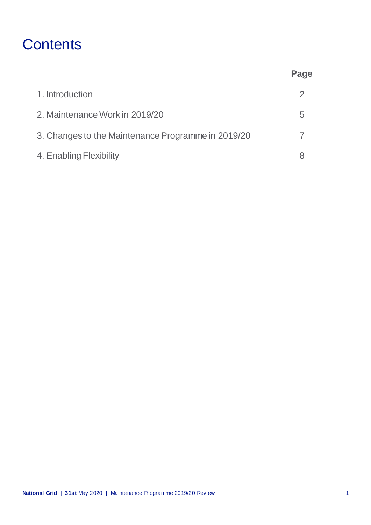# **Contents**

|                                                    | Page          |
|----------------------------------------------------|---------------|
| 1. Introduction                                    | $\mathcal{P}$ |
| 2. Maintenance Work in 2019/20                     | 5             |
| 3. Changes to the Maintenance Programme in 2019/20 |               |
| 4. Enabling Flexibility                            |               |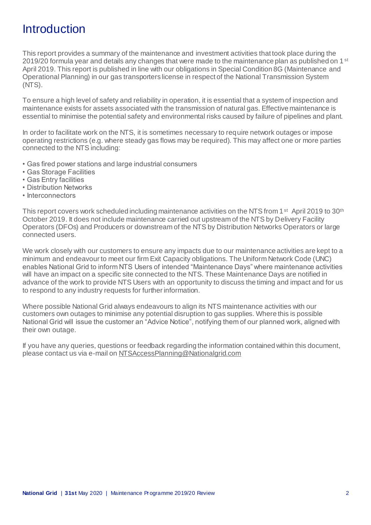### **Introduction**

This report provides a summary of the maintenance and investment activities that took place during the 2019/20 formula year and details any changes that were made to the maintenance plan as published on 1  $\rm{^{st}}$ April 2019. This report is published in line with our obligations in Special Condition 8G (Maintenance and Operational Planning) in our gas transporters license in respect of the National Transmission System (NTS).

To ensure a high level of safety and reliability in operation, it is essential that a system of inspection and maintenance exists for assets associated with the transmission of natural gas. Effective maintenance is essential to minimise the potential safety and environmental risks caused by failure of pipelines and plant.

In order to facilitate work on the NTS, it is sometimes necessary to require network outages or impose operating restrictions (e.g. where steady gas flows may be required). This may affect one or more parties connected to the NTS including:

- Gas fired power stations and large industrial consumers
- Gas Storage Facilities
- Gas Entry facilities
- Distribution Networks
- Interconnectors

This report covers work scheduled including maintenance activities on the NTS from 1<sup>st</sup> April 2019 to 30<sup>th</sup> October 2019. It does not include maintenance carried out upstream of the NTS by Delivery Facility Operators (DFOs) and Producers or downstream of the NTS by Distribution Networks Operators or large connected users.

We work closely with our customers to ensure any impacts due to our maintenance activities are kept to a minimum and endeavour to meet our firm Exit Capacity obligations. The Uniform Network Code (UNC) enables National Grid to inform NTS Users of intended "Maintenance Days" where maintenance activities will have an impact on a specific site connected to the NTS. These Maintenance Days are notified in advance of the work to provide NTS Users with an opportunity to discuss the timing and impact and for us to respond to any industry requests for further information.

Where possible National Grid always endeavours to align its NTS maintenance activities with our customers own outages to minimise any potential disruption to gas supplies. Where this is possible National Grid will issue the customer an "Advice Notice", notifying them of our planned work, aligned with their own outage.

If you have any queries, questions or feedback regarding the information contained within this document, please contact us via e-mail on [NTSAccessPlanning@Nationalgrid.com](mailto:NTSAccessPlanning@Nationalgrid.com)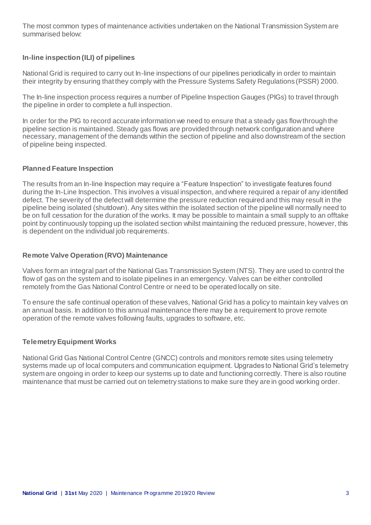The most common types of maintenance activities undertaken on the National Transmission System are summarised below:

#### **In-line inspection (ILI) of pipelines**

National Grid is required to carry out In-line inspections of our pipelines periodically in order to maintain their integrity by ensuring that they comply with the Pressure Systems Safety Regulations (PSSR) 2000.

The In-line inspection process requires a number of Pipeline Inspection Gauges (PIGs) to travel through the pipeline in order to complete a full inspection.

In order for the PIG to record accurate information we need to ensure that a steady gas flow through the pipeline section is maintained. Steady gas flows are provided through network configuration and where necessary, management of the demands within the section of pipeline and also downstream of the section of pipeline being inspected.

#### **Planned Feature Inspection**

The results from an In-line Inspection may require a "Feature Inspection" to investigate features found during the In-Line Inspection. This involves a visual inspection, and where required a repair of any identified defect. The severity of the defect will determine the pressure reduction required and this may result in the pipeline being isolated (shutdown). Any sites within the isolated section of the pipeline will normally need to be on full cessation for the duration of the works. It may be possible to maintain a small supply to an offtake point by continuously topping up the isolated section whilst maintaining the reduced pressure, however, this is dependent on the individual job requirements.

#### **Remote Valve Operation (RVO) Maintenance**

Valves form an integral part of the National Gas Transmission System (NTS). They are used to control the flow of gas on the system and to isolate pipelines in an emergency. Valves can be either controlled remotely from the Gas National Control Centre or need to be operated locally on site.

To ensure the safe continual operation of these valves, National Grid has a policy to maintain key valves on an annual basis. In addition to this annual maintenance there may be a requirement to prove remote operation of the remote valves following faults, upgrades to software, etc.

#### **Telemetry Equipment Works**

National Grid Gas National Control Centre (GNCC) controls and monitors remote sites using telemetry systems made up of local computers and communication equipment. Upgrades to National Grid's telemetry system are ongoing in order to keep our systems up to date and functioning correctly. There is also routine maintenance that must be carried out on telemetry stations to make sure they are in good working order.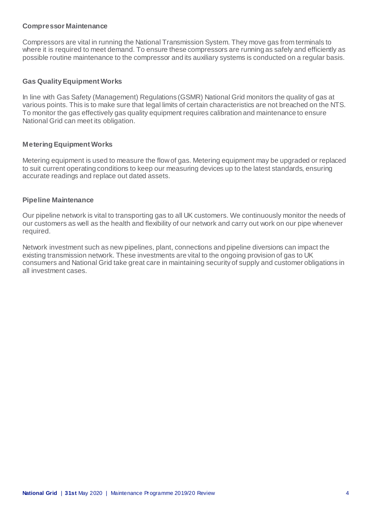#### **Compressor Maintenance**

Compressors are vital in running the National Transmission System. They move gas from terminals to where it is required to meet demand. To ensure these compressors are running as safely and efficiently as possible routine maintenance to the compressor and its auxiliary systems is conducted on a regular basis.

#### **Gas Quality Equipment Works**

In line with Gas Safety (Management) Regulations (GSMR) National Grid monitors the quality of gas at various points. This is to make sure that legal limits of certain characteristics are not breached on the NTS. To monitor the gas effectively gas quality equipment requires calibration and maintenance to ensure National Grid can meet its obligation.

#### **Metering Equipment Works**

Metering equipment is used to measure the flow of gas. Metering equipment may be upgraded or replaced to suit current operating conditions to keep our measuring devices up to the latest standards, ensuring accurate readings and replace out dated assets.

#### **Pipeline Maintenance**

Our pipeline network is vital to transporting gas to all UK customers. We continuously monitor the needs of our customers as well as the health and flexibility of our network and carry out work on our pipe whenever required.

Network investment such as new pipelines, plant, connections and pipeline diversions can impact the existing transmission network. These investments are vital to the ongoing provision of gas to UK consumers and National Grid take great care in maintaining security of supply and customer obligations in all investment cases.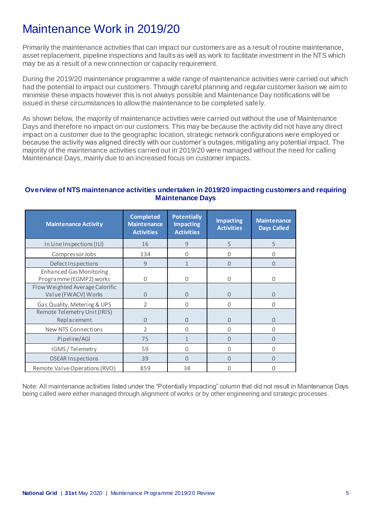## Maintenance Work in 2019/20

Primarily the maintenance activities that can impact our customers are as a result of routine maintenance, asset replacement, pipeline inspections and faults as well as work to facilitate investment in the NTS which may be as a result of a new connection or capacity requirement.

During the 2019/20 maintenance programme a wide range of maintenance activities were carried out which had the potential to impact our customers. Through careful planning and regular customer liaison we aim to minimise these impacts however this is not always possible and Maintenance Day notifications will be issued in these circumstances to allow the maintenance to be completed safely.

As shown below, the majority of maintenance activities were carried out without the use of Maintenance Days and therefore no impact on our customers. This may be because the activity did not have any direct impact on a customer due to the geographic location, strategic network configurations were employed or because the activity was aligned directly with our customer's outages, mitigating any potential impact. The majority of the maintenance activities carried out in 2019/20 were managed without the need for calling Maintenance Days, mainly due to an increased focus on customer impacts.

#### **Overview of NTS maintenance activities undertaken in 2019/20 impacting customers and requiring Maintenance Days**

| <b>Maintenance Activity</b>                               | <b>Completed</b><br><b>Maintenance</b><br><b>Activities</b> | <b>Potentially</b><br><b>Impacting</b><br><b>Activities</b> | <b>Impacting</b><br><b>Activities</b> | <b>Maintenance</b><br><b>Days Called</b> |
|-----------------------------------------------------------|-------------------------------------------------------------|-------------------------------------------------------------|---------------------------------------|------------------------------------------|
| In Line Inspections (ILI)                                 | 16                                                          | 9                                                           | 5                                     | 5                                        |
| CompressorJobs                                            | 134                                                         | $\Omega$                                                    | 0                                     | 0                                        |
| Defect Inspections                                        | 9                                                           | $\mathbf{1}$                                                | $\Omega$                              | $\Omega$                                 |
| <b>Enhanced Gas Monitoring</b><br>Programme (EGMP2) works | Ω                                                           | $\Omega$                                                    | 0                                     | Ω                                        |
| Flow Weighted Average Calorific<br>Value (FWACV) Works    | 0                                                           | $\Omega$                                                    | $\Omega$                              | 0                                        |
| Gas Quality, Metering & UPS                               | C.                                                          | 0                                                           | 0                                     | 0                                        |
| Remote Telemetry Unit (IRIS)<br>Replacement               | $\Omega$                                                    | $\Omega$                                                    | $\Omega$                              | 0                                        |
| New NTS Connections                                       | $\mathfrak{D}$                                              | $\Omega$                                                    | $\Omega$                              | 0                                        |
| Pipeline/AGI                                              | 75                                                          | 1                                                           | $\Omega$                              | 0                                        |
| IGMS / Telemetry                                          | 59                                                          | $\Omega$                                                    | 0                                     | U                                        |
| <b>DSEAR Inspections</b>                                  | 39                                                          | $\Omega$                                                    | $\Omega$                              | $\Omega$                                 |
| Remote Valve Operations (RVO)                             | 859                                                         | 38                                                          |                                       |                                          |

Note: All maintenance activities listed under the "Potentially Impacting" column that did not result in Maintenance Days being called were either managed through alignment of works or by other engineering and strategic processes.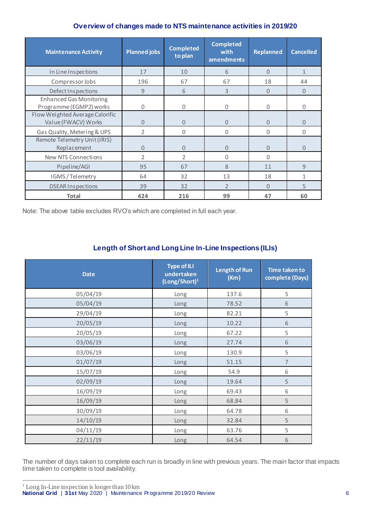#### **Overview of changes made to NTS maintenance activities in 2019/20**

| <b>Maintenance Activity</b>                               | <b>Planned jobs</b> | <b>Completed</b><br>to plan | <b>Completed</b><br>with<br>amendments | <b>Replanned</b> | <b>Cancelled</b> |
|-----------------------------------------------------------|---------------------|-----------------------------|----------------------------------------|------------------|------------------|
| In Line Inspections                                       | 17                  | 10                          | 6                                      | $\mathbf{0}$     | $\mathbf{1}$     |
| Compressor Jobs                                           | 196                 | 67                          | 67                                     | 18               | 44               |
| Defect Inspections                                        | $\mathbf{q}$        | 6                           | 3                                      | $\Omega$         | $\Omega$         |
| <b>Enhanced Gas Monitoring</b><br>Programme (EGMP2) works | $\Omega$            | 0                           | $\Omega$                               | $\Omega$         | $\Omega$         |
| Flow Weighted Average Calorific<br>Value (FWACV) Works    | $\Omega$            | $\Omega$                    | $\Omega$                               | $\Omega$         | $\Omega$         |
| Gas Quality, Metering & UPS                               | $\overline{2}$      | 0                           | $\Omega$                               | $\Omega$         | $\Omega$         |
| Remote Telemetry Unit (IRIS)<br>Replacement               | $\Omega$            | $\Omega$                    | $\Omega$                               | $\Omega$         | $\Omega$         |
| New NTS Connections                                       | $\overline{2}$      | $\overline{2}$              | $\Omega$                               | $\Omega$         |                  |
| Pipeline/AGI                                              | 95                  | 67                          | $\mathcal{S}_{\mathcal{S}}$            | 11               | 9                |
| IGMS / Telemetry                                          | 64                  | 32                          | 13                                     | 18               | 1                |
| <b>DSEAR Inspections</b>                                  | 39                  | 32                          | $\overline{2}$                         | $\Omega$         | 5                |
| <b>Total</b>                                              | 424                 | 216                         | 99                                     | 47               | 60               |

Note: The above table excludes RVO's which are completed in full each year.

### **Length of Short and Long Line In-Line Inspections (ILIs)**

| <b>Date</b> | Type of ILI<br>undertaken<br>(Long/Short) <sup>1</sup> | <b>Length of Run</b><br>(Km) | <b>Time taken to</b><br>complete (Days) |
|-------------|--------------------------------------------------------|------------------------------|-----------------------------------------|
| 05/04/19    | Long                                                   | 137.6                        | 5                                       |
| 05/04/19    | Long                                                   | 78.52                        | $\,$ 6 $\,$                             |
| 29/04/19    | Long                                                   | 82.21                        | 5                                       |
| 20/05/19    | <b>Long</b>                                            | 10.22                        | $\sqrt{6}$                              |
| 20/05/19    | Long                                                   | 67.22                        | 5                                       |
| 03/06/19    | Long                                                   | 27.74                        | $\sqrt{6}$                              |
| 03/06/19    | Long                                                   | 130.9                        | 5                                       |
| 01/07/19    | Long                                                   | 51.15                        | $\overline{\phantom{a}}$                |
| 15/07/19    | Long                                                   | 54.9                         | 6                                       |
| 02/09/19    | Long                                                   | 19.64                        | 5                                       |
| 16/09/19    | Long                                                   | 69.43                        | 6                                       |
| 16/09/19    | Long                                                   | 68.84                        | 5                                       |
| 30/09/19    | Long                                                   | 64.78                        | 6                                       |
| 14/10/19    | Long                                                   | 32.84                        | 5                                       |
| 04/11/19    | Long                                                   | 63.76                        | 5                                       |
| 22/11/19    | Long                                                   | 64.54                        | 6                                       |

The number of days taken to complete each run is broadly in line with previous years. The main factor that impacts time taken to complete is tool availability.

 $\overline{a}$ 

**National Grid** | **31st** May 2020 | Maintenance Programme 2019/20 Review 6  $1$  Long In-Line inspection is longer than  $10 \text{ km}$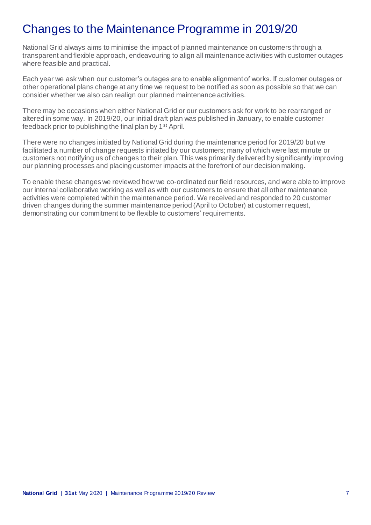### Changes to the Maintenance Programme in 2019/20

National Grid always aims to minimise the impact of planned maintenance on customers through a transparent and flexible approach, endeavouring to align all maintenance activities with customer outages where feasible and practical.

Each year we ask when our customer's outages are to enable alignment of works. If customer outages or other operational plans change at any time we request to be notified as soon as possible so that we can consider whether we also can realign our planned maintenance activities.

There may be occasions when either National Grid or our customers ask for work to be rearranged or altered in some way. In 2019/20, our initial draft plan was published in January, to enable customer feedback prior to publishing the final plan by 1st April.

There were no changes initiated by National Grid during the maintenance period for 2019/20 but we facilitated a number of change requests initiated by our customers; many of which were last minute or customers not notifying us of changes to their plan. This was primarily delivered by significantly improving our planning processes and placing customer impacts at the forefront of our decision making.

To enable these changes we reviewed how we co-ordinated our field resources, and were able to improve our internal collaborative working as well as with our customers to ensure that all other maintenance activities were completed within the maintenance period. We received and responded to 20 customer driven changes during the summer maintenance period (April to October) at customer request, demonstrating our commitment to be flexible to customers' requirements.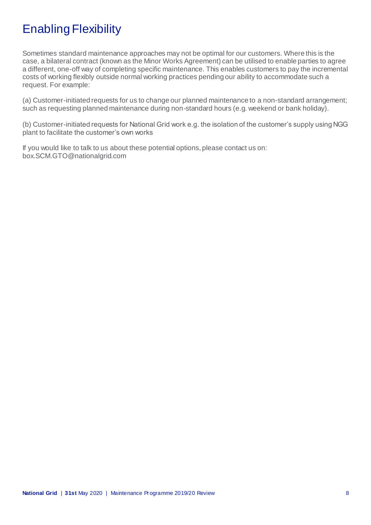## Enabling Flexibility

Sometimes standard maintenance approaches may not be optimal for our customers. Where this is the case, a bilateral contract (known as the Minor Works Agreement) can be utilised to enable parties to agree a different, one-off way of completing specific maintenance. This enables customers to pay the incremental costs of working flexibly outside normal working practices pending our ability to accommodate such a request. For example:

(a) Customer-initiated requests for us to change our planned maintenance to a non-standard arrangement; such as requesting planned maintenance during non-standard hours (e.g. weekend or bank holiday).

(b) Customer-initiated requests for National Grid work e.g. the isolation of the customer's supply using NGG plant to facilitate the customer's own works

If you would like to talk to us about these potential options, please contact us on: box.SCM.GTO@nationalgrid.com